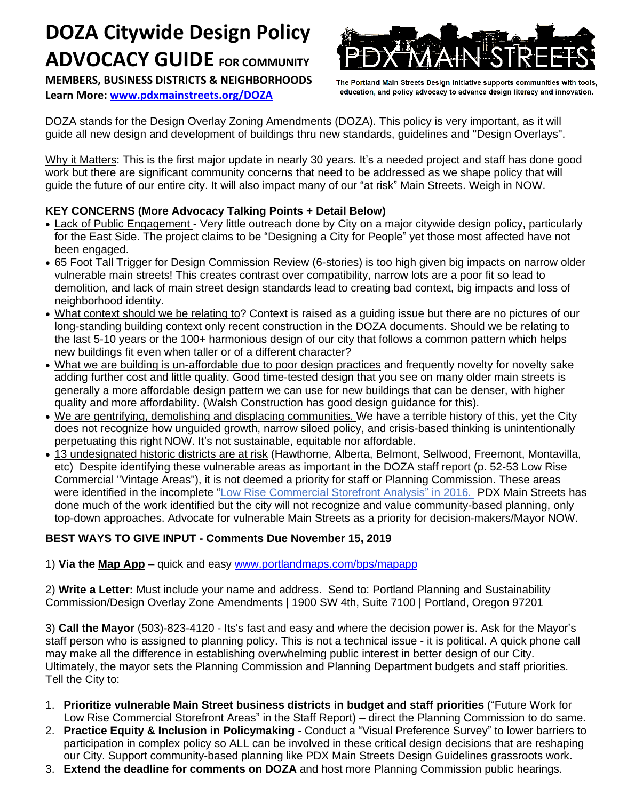# **DOZA Citywide Design Policy ADVOCACY GUIDE FOR COMMUNITY**

**MEMBERS, BUSINESS DISTRICTS & NEIGHBORHOODS Learn More: [www.pdxmainstreets.org/DOZA](http://www.pdxmainstreets.org/DOZA)**



The Portland Main Streets Design Initiative supports communities with tools, education, and policy advocacy to advance design literacy and innovation.

DOZA stands for the Design Overlay Zoning Amendments (DOZA). This policy is very important, as it will guide all new design and development of buildings thru new standards, guidelines and "Design Overlays".

Why it Matters: This is the first major update in nearly 30 years. It's a needed project and staff has done good work but there are significant community concerns that need to be addressed as we shape policy that will guide the future of our entire city. It will also impact many of our "at risk" Main Streets. Weigh in NOW.

# **KEY CONCERNS (More Advocacy Talking Points + Detail Below)**

- Lack of Public Engagement Very little outreach done by City on a major citywide design policy, particularly for the East Side. The project claims to be "Designing a City for People" yet those most affected have not been engaged.
- 65 Foot Tall Trigger for Design Commission Review (6-stories) is too high given big impacts on narrow older vulnerable main streets! This creates contrast over compatibility, narrow lots are a poor fit so lead to demolition, and lack of main street design standards lead to creating bad context, big impacts and loss of neighborhood identity.
- What context should we be relating to? Context is raised as a guiding issue but there are no pictures of our long-standing building context only recent construction in the DOZA documents. Should we be relating to the last 5-10 years or the 100+ harmonious design of our city that follows a common pattern which helps new buildings fit even when taller or of a different character?
- What we are building is un-affordable due to poor design practices and frequently novelty for novelty sake adding further cost and little quality. Good time-tested design that you see on many older main streets is generally a more affordable design pattern we can use for new buildings that can be denser, with higher quality and more affordability. (Walsh Construction has good design guidance for this).
- We are gentrifying, demolishing and displacing communities. We have a terrible history of this, yet the City does not recognize how unguided growth, narrow siloed policy, and crisis-based thinking is unintentionally perpetuating this right NOW. It's not sustainable, equitable nor affordable.
- 13 undesignated historic districts are at risk (Hawthorne, Alberta, Belmont, Sellwood, Freemont, Montavilla, etc) Despite identifying these vulnerable areas as important in the DOZA staff report (p. 52-53 Low Rise Commercial "Vintage Areas"), it is not deemed a priority for staff or Planning Commission. These areas were identified in the incomplete "Low Rise [Commercial](https://www.portlandoregon.gov/bps/article/576442) Storefront Analysis" in 2016. PDX Main Streets has done much of the work identified but the city will not recognize and value community-based planning, only top-down approaches. Advocate for vulnerable Main Streets as a priority for decision-makers/Mayor NOW.

# **BEST WAYS TO GIVE INPUT - Comments Due November 15, 2019**

1) **Via the [Map](http://www.portlandmaps.com/bps/mapapp) App** – quick and easy [www.portlandmaps.com/bps/mapapp](http://www.portlandmaps.com/bps/mapapp)

2) **Write a Letter:** Must include your name and address. Send to: Portland Planning and Sustainability Commission/Design Overlay Zone Amendments | 1900 SW 4th, Suite 7100 | Portland, Oregon 97201

3) **Call the Mayor** (503)-823-4120 - Its's fast and easy and where the decision power is. Ask for the Mayor's staff person who is assigned to planning policy. This is not a technical issue - it is political. A quick phone call may make all the difference in establishing overwhelming public interest in better design of our City. Ultimately, the mayor sets the Planning Commission and Planning Department budgets and staff priorities. Tell the City to:

- 1. **Prioritize vulnerable Main Street business districts in budget and staff priorities** ("Future Work for Low Rise Commercial Storefront Areas" in the Staff Report) – direct the Planning Commission to do same.
- 2. **Practice Equity & Inclusion in Policymaking** Conduct a "Visual Preference Survey" to lower barriers to participation in complex policy so ALL can be involved in these critical design decisions that are reshaping our City. Support community-based planning like PDX Main Streets Design Guidelines grassroots work.
- 3. **Extend the deadline for comments on DOZA** and host more Planning Commission public hearings.